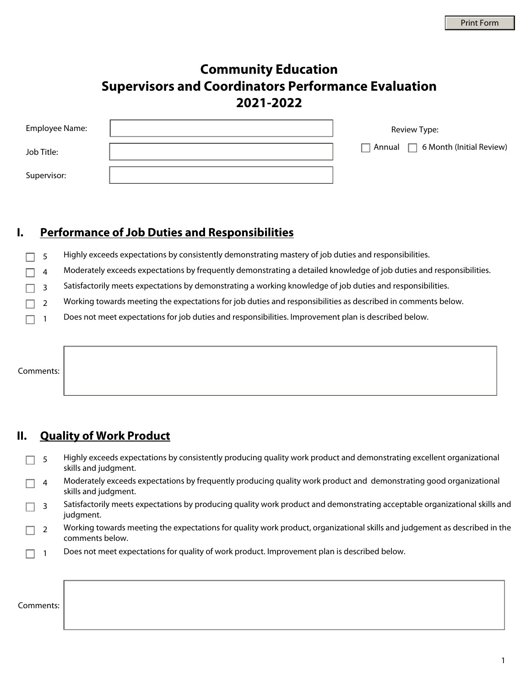# **Community Education Supervisors and Coordinators Performance Evaluation 2021-2022**

| Employee Name: | Review Type:                                  |
|----------------|-----------------------------------------------|
| Job Title:     | $\Box$ Annual $\Box$ 6 Month (Initial Review) |
| Supervisor:    |                                               |

#### **I. Performance of Job Duties and Responsibilities**

- 5 Highly exceeds expectations by consistently demonstrating mastery of job duties and responsibilities.
- 4 Moderately exceeds expectations by frequently demonstrating a detailed knowledge of job duties and responsibilities.
- 3 Satisfactorily meets expectations by demonstrating a working knowledge of job duties and responsibilities.
- 2 Working towards meeting the expectations for job duties and responsibilities as described in comments below.
- Does not meet expectations for job duties and responsibilities. Improvement plan is described below. П 1

Comments:

#### **II. Quality of Work Product**

- 5 Highly exceeds expectations by consistently producing quality work product and demonstrating excellent organizational skills and judgment.
- 4 Moderately exceeds expectations by frequently producing quality work product and demonstrating good organizational skills and judgment.
- 3 Satisfactorily meets expectations by producing quality work product and demonstrating acceptable organizational skills and judgment.
- 2 Working towards meeting the expectations for quality work product, organizational skills and judgement as described in the comments below.
- 1 Does not meet expectations for quality of work product. Improvement plan is described below.

|--|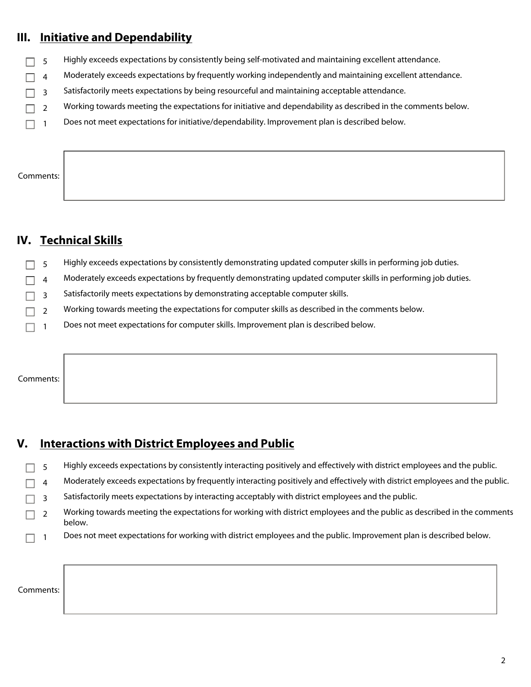#### **III. Initiative and Dependability**

- Highly exceeds expectations by consistently being self-motivated and maintaining excellent attendance. 5  $\Box$
- 4 Moderately exceeds expectations by frequently working independently and maintaining excellent attendance.
- 3 Satisfactorily meets expectations by being resourceful and maintaining acceptable attendance.
- Working towards meeting the expectations for initiative and dependability as described in the comments below.  $\Box$ 2
- $\Box$  1 Does not meet expectations for initiative/dependability. Improvement plan is described below.

Comments:

#### **IV. Technical Skills**

- Highly exceeds expectations by consistently demonstrating updated computer skills in performing job duties. 5 П
- 4 Moderately exceeds expectations by frequently demonstrating updated computer skills in performing job duties.
- Satisfactorily meets expectations by demonstrating acceptable computer skills.  $\Box$ 3
- Working towards meeting the expectations for computer skills as described in the comments below. П 2
- $\Box$  1 Does not meet expectations for computer skills. Improvement plan is described below.

Comments:

#### **V. Interactions with District Employees and Public**

- Highly exceeds expectations by consistently interacting positively and effectively with district employees and the public. 5  $\Box$
- 4 Moderately exceeds expectations by frequently interacting positively and effectively with district employees and the public.
- Satisfactorily meets expectations by interacting acceptably with district employees and the public. П 3
- 2 Working towards meeting the expectations for working with district employees and the public as described in the comments below.
- $\Box$  1 Does not meet expectations for working with district employees and the public. Improvement plan is described below.

Comments: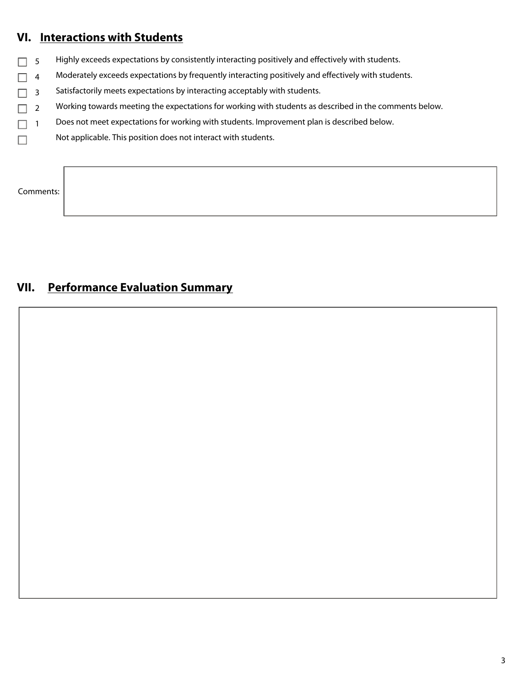## **VI. Interactions with Students**

- $\Box$  5 Highly exceeds expectations by consistently interacting positively and effectively with students.
- $\Box$  4 Moderately exceeds expectations by frequently interacting positively and effectively with students.
- $\Box$  3 Satisfactorily meets expectations by interacting acceptably with students.
- $\Box$  2 Working towards meeting the expectations for working with students as described in the comments below.
- $\Box$  1 Does not meet expectations for working with students. Improvement plan is described below.
- Not applicable. This position does not interact with students.  $\Box$

### Comments:

## **VII. Performance Evaluation Summary**